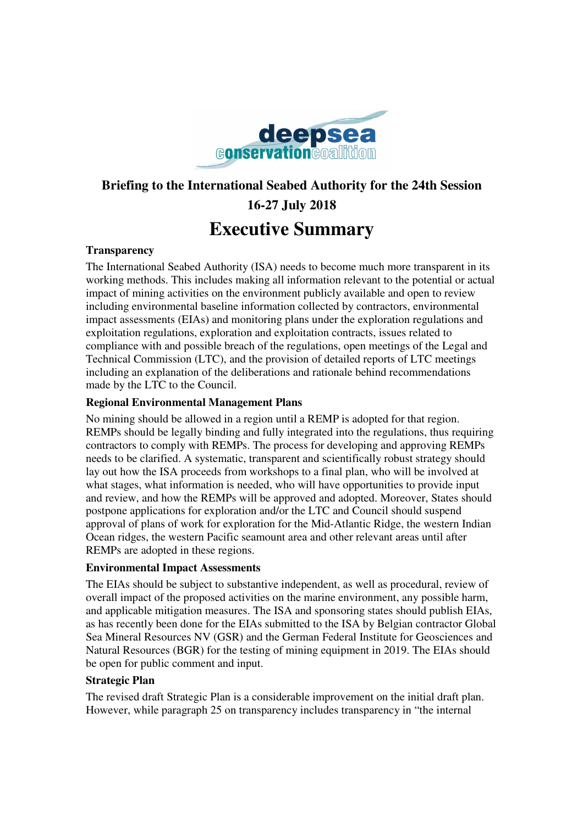

# **Briefing to the International Seabed Authority for the 24th Session 16-27 July 2018 Executive Summary**

#### **Transparency**

The International Seabed Authority (ISA) needs to become much more transparent in its working methods. This includes making all information relevant to the potential or actual impact of mining activities on the environment publicly available and open to review including environmental baseline information collected by contractors, environmental impact assessments (EIAs) and monitoring plans under the exploration regulations and exploitation regulations, exploration and exploitation contracts, issues related to compliance with and possible breach of the regulations, open meetings of the Legal and Technical Commission (LTC), and the provision of detailed reports of LTC meetings including an explanation of the deliberations and rationale behind recommendations made by the LTC to the Council.

### **Regional Environmental Management Plans**

No mining should be allowed in a region until a REMP is adopted for that region. REMPs should be legally binding and fully integrated into the regulations, thus requiring contractors to comply with REMPs. The process for developing and approving REMPs needs to be clarified. A systematic, transparent and scientifically robust strategy should lay out how the ISA proceeds from workshops to a final plan, who will be involved at what stages, what information is needed, who will have opportunities to provide input and review, and how the REMPs will be approved and adopted. Moreover, States should postpone applications for exploration and/or the LTC and Council should suspend approval of plans of work for exploration for the Mid-Atlantic Ridge, the western Indian Ocean ridges, the western Pacific seamount area and other relevant areas until after REMPs are adopted in these regions.

#### **Environmental Impact Assessments**

The EIAs should be subject to substantive independent, as well as procedural, review of overall impact of the proposed activities on the marine environment, any possible harm, and applicable mitigation measures. The ISA and sponsoring states should publish EIAs, as has recently been done for the EIAs submitted to the ISA by Belgian contractor Global Sea Mineral Resources NV (GSR) and the German Federal Institute for Geosciences and Natural Resources (BGR) for the testing of mining equipment in 2019. The EIAs should be open for public comment and input.

#### **Strategic Plan**

The revised draft Strategic Plan is a considerable improvement on the initial draft plan. However, while paragraph 25 on transparency includes transparency in "the internal"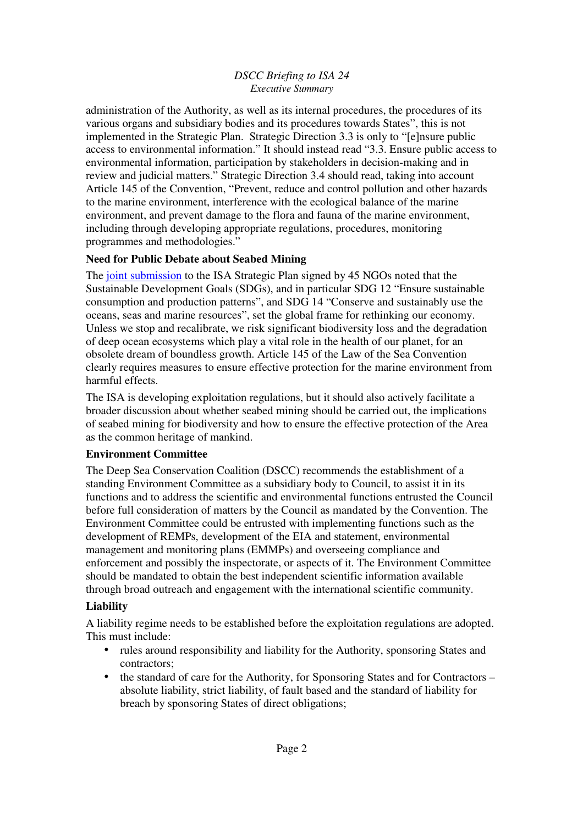#### *DSCC Briefing to ISA 24 Executive Summary*

administration of the Authority, as well as its internal procedures, the procedures of its various organs and subsidiary bodies and its procedures towards States", this is not implemented in the Strategic Plan. Strategic Direction 3.3 is only to "[e]nsure public access to environmental information." It should instead read "3.3. Ensure public access to environmental information, participation by stakeholders in decision-making and in review and judicial matters." Strategic Direction 3.4 should read, taking into account Article 145 of the Convention, "Prevent, reduce and control pollution and other hazards to the marine environment, interference with the ecological balance of the marine environment, and prevent damage to the flora and fauna of the marine environment, including through developing appropriate regulations, procedures, monitoring programmes and methodologies."

## **Need for Public Debate about Seabed Mining**

The joint submission to the ISA Strategic Plan signed by 45 NGOs noted that the Sustainable Development Goals (SDGs), and in particular SDG 12 "Ensure sustainable consumption and production patterns", and SDG 14 "Conserve and sustainably use the oceans, seas and marine resources", set the global frame for rethinking our economy. Unless we stop and recalibrate, we risk significant biodiversity loss and the degradation of deep ocean ecosystems which play a vital role in the health of our planet, for an obsolete dream of boundless growth. Article 145 of the Law of the Sea Convention clearly requires measures to ensure effective protection for the marine environment from harmful effects.

The ISA is developing exploitation regulations, but it should also actively facilitate a broader discussion about whether seabed mining should be carried out, the implications of seabed mining for biodiversity and how to ensure the effective protection of the Area as the common heritage of mankind.

# **Environment Committee**

The Deep Sea Conservation Coalition (DSCC) recommends the establishment of a standing Environment Committee as a subsidiary body to Council, to assist it in its functions and to address the scientific and environmental functions entrusted the Council before full consideration of matters by the Council as mandated by the Convention. The Environment Committee could be entrusted with implementing functions such as the development of REMPs, development of the EIA and statement, environmental management and monitoring plans (EMMPs) and overseeing compliance and enforcement and possibly the inspectorate, or aspects of it. The Environment Committee should be mandated to obtain the best independent scientific information available through broad outreach and engagement with the international scientific community.

# **Liability**

A liability regime needs to be established before the exploitation regulations are adopted. This must include:

- rules around responsibility and liability for the Authority, sponsoring States and contractors;
- the standard of care for the Authority, for Sponsoring States and for Contractors absolute liability, strict liability, of fault based and the standard of liability for breach by sponsoring States of direct obligations;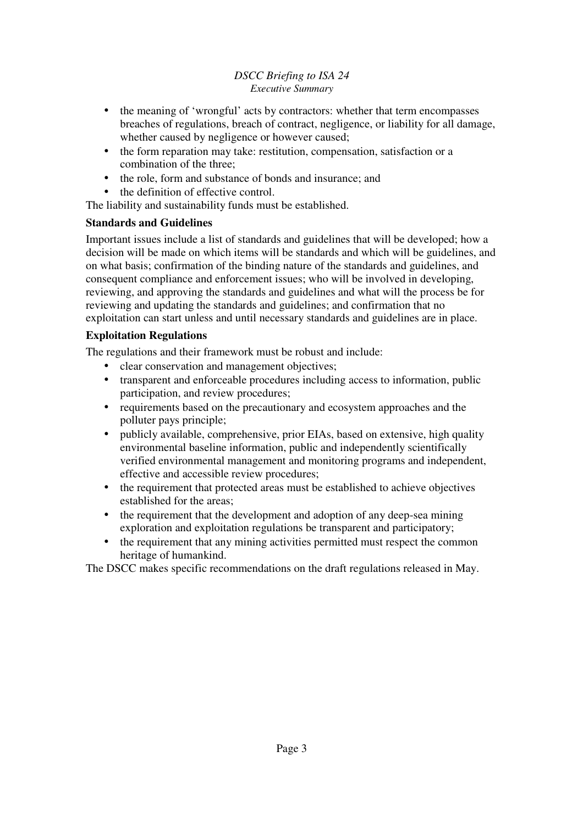### *DSCC Briefing to ISA 24 Executive Summary*

- the meaning of 'wrongful' acts by contractors: whether that term encompasses breaches of regulations, breach of contract, negligence, or liability for all damage, whether caused by negligence or however caused;
- the form reparation may take: restitution, compensation, satisfaction or a combination of the three;
- the role, form and substance of bonds and insurance; and
- the definition of effective control.

The liability and sustainability funds must be established.

## **Standards and Guidelines**

Important issues include a list of standards and guidelines that will be developed; how a decision will be made on which items will be standards and which will be guidelines, and on what basis; confirmation of the binding nature of the standards and guidelines, and consequent compliance and enforcement issues; who will be involved in developing, reviewing, and approving the standards and guidelines and what will the process be for reviewing and updating the standards and guidelines; and confirmation that no exploitation can start unless and until necessary standards and guidelines are in place.

## **Exploitation Regulations**

The regulations and their framework must be robust and include:

- clear conservation and management objectives;
- transparent and enforceable procedures including access to information, public participation, and review procedures;
- requirements based on the precautionary and ecosystem approaches and the polluter pays principle;
- publicly available, comprehensive, prior EIAs, based on extensive, high quality environmental baseline information, public and independently scientifically verified environmental management and monitoring programs and independent, effective and accessible review procedures;
- the requirement that protected areas must be established to achieve objectives established for the areas;
- the requirement that the development and adoption of any deep-sea mining exploration and exploitation regulations be transparent and participatory;
- the requirement that any mining activities permitted must respect the common heritage of humankind.

The DSCC makes specific recommendations on the draft regulations released in May.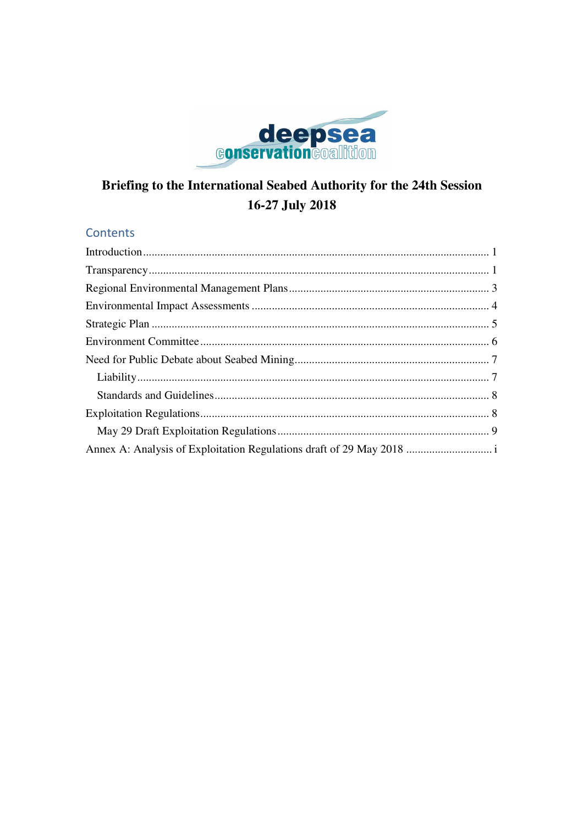

# Briefing to the International Seabed Authority for the 24th Session 16-27 July 2018

# **Contents**

| Annex A: Analysis of Exploitation Regulations draft of 29 May 2018  i |  |
|-----------------------------------------------------------------------|--|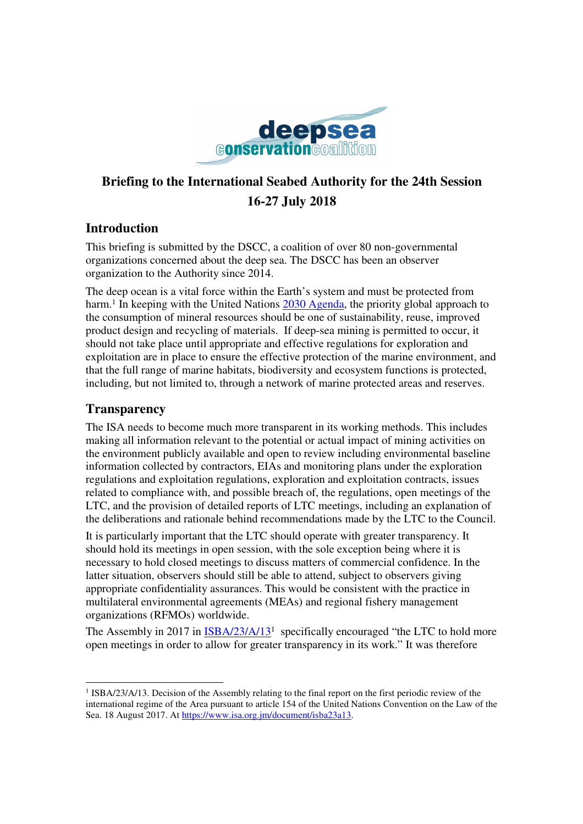

# **Briefing to the International Seabed Authority for the 24th Session 16-27 July 2018**

# **Introduction**

This briefing is submitted by the DSCC, a coalition of over 80 non-governmental organizations concerned about the deep sea. The DSCC has been an observer organization to the Authority since 2014.

The deep ocean is a vital force within the Earth's system and must be protected from harm.<sup>1</sup> In keeping with the United Nations 2030 Agenda, the priority global approach to the consumption of mineral resources should be one of sustainability, reuse, improved product design and recycling of materials. If deep-sea mining is permitted to occur, it should not take place until appropriate and effective regulations for exploration and exploitation are in place to ensure the effective protection of the marine environment, and that the full range of marine habitats, biodiversity and ecosystem functions is protected, including, but not limited to, through a network of marine protected areas and reserves.

# **Transparency**

The ISA needs to become much more transparent in its working methods. This includes making all information relevant to the potential or actual impact of mining activities on the environment publicly available and open to review including environmental baseline information collected by contractors, EIAs and monitoring plans under the exploration regulations and exploitation regulations, exploration and exploitation contracts, issues related to compliance with, and possible breach of, the regulations, open meetings of the LTC, and the provision of detailed reports of LTC meetings, including an explanation of the deliberations and rationale behind recommendations made by the LTC to the Council.

It is particularly important that the LTC should operate with greater transparency. It should hold its meetings in open session, with the sole exception being where it is necessary to hold closed meetings to discuss matters of commercial confidence. In the latter situation, observers should still be able to attend, subject to observers giving appropriate confidentiality assurances. This would be consistent with the practice in multilateral environmental agreements (MEAs) and regional fishery management organizations (RFMOs) worldwide.

The Assembly in 2017 in  $\frac{ISBA/23/A/13^1}{2}$  specifically encouraged "the LTC to hold more open meetings in order to allow for greater transparency in its work." It was therefore

l <sup>1</sup> ISBA/23/A/13. Decision of the Assembly relating to the final report on the first periodic review of the international regime of the Area pursuant to article 154 of the United Nations Convention on the Law of the Sea. 18 August 2017. At https://www.isa.org.jm/document/isba23a13.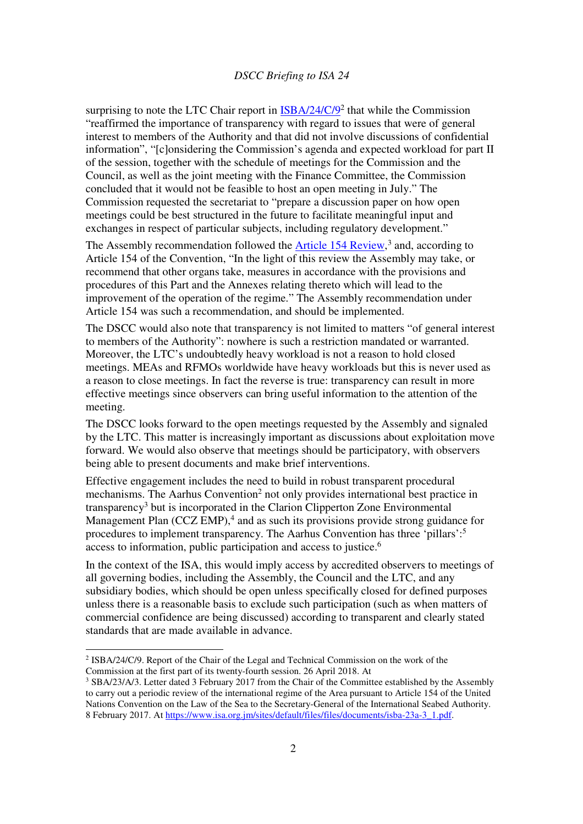surprising to note the LTC Chair report in **ISBA/24/C/9<sup>2</sup>** that while the Commission "reaffirmed the importance of transparency with regard to issues that were of general interest to members of the Authority and that did not involve discussions of confidential information", "[c]onsidering the Commission's agenda and expected workload for part II of the session, together with the schedule of meetings for the Commission and the Council, as well as the joint meeting with the Finance Committee, the Commission concluded that it would not be feasible to host an open meeting in July." The Commission requested the secretariat to "prepare a discussion paper on how open meetings could be best structured in the future to facilitate meaningful input and exchanges in respect of particular subjects, including regulatory development."

The Assembly recommendation followed the **Article 154 Review**,<sup>3</sup> and, according to Article 154 of the Convention, "In the light of this review the Assembly may take, or recommend that other organs take, measures in accordance with the provisions and procedures of this Part and the Annexes relating thereto which will lead to the improvement of the operation of the regime." The Assembly recommendation under Article 154 was such a recommendation, and should be implemented.

The DSCC would also note that transparency is not limited to matters "of general interest to members of the Authority": nowhere is such a restriction mandated or warranted. Moreover, the LTC's undoubtedly heavy workload is not a reason to hold closed meetings. MEAs and RFMOs worldwide have heavy workloads but this is never used as a reason to close meetings. In fact the reverse is true: transparency can result in more effective meetings since observers can bring useful information to the attention of the meeting.

The DSCC looks forward to the open meetings requested by the Assembly and signaled by the LTC. This matter is increasingly important as discussions about exploitation move forward. We would also observe that meetings should be participatory, with observers being able to present documents and make brief interventions.

Effective engagement includes the need to build in robust transparent procedural mechanisms. The Aarhus Convention<sup>2</sup> not only provides international best practice in transparency<sup>3</sup> but is incorporated in the Clarion Clipperton Zone Environmental Management Plan  $(CCZ EMP)$ ,<sup>4</sup> and as such its provisions provide strong guidance for procedures to implement transparency. The Aarhus Convention has three 'pillars':<sup>5</sup> access to information, public participation and access to justice.<sup>6</sup>

In the context of the ISA, this would imply access by accredited observers to meetings of all governing bodies, including the Assembly, the Council and the LTC, and any subsidiary bodies, which should be open unless specifically closed for defined purposes unless there is a reasonable basis to exclude such participation (such as when matters of commercial confidence are being discussed) according to transparent and clearly stated standards that are made available in advance.

<sup>&</sup>lt;sup>2</sup> ISBA/24/C/9. Report of the Chair of the Legal and Technical Commission on the work of the Commission at the first part of its twenty-fourth session. 26 April 2018. At

<sup>&</sup>lt;sup>3</sup> SBA/23/A/3. Letter dated 3 February 2017 from the Chair of the Committee established by the Assembly to carry out a periodic review of the international regime of the Area pursuant to Article 154 of the United Nations Convention on the Law of the Sea to the Secretary-General of the International Seabed Authority. 8 February 2017. At https://www.isa.org.jm/sites/default/files/files/documents/isba-23a-3\_1.pdf.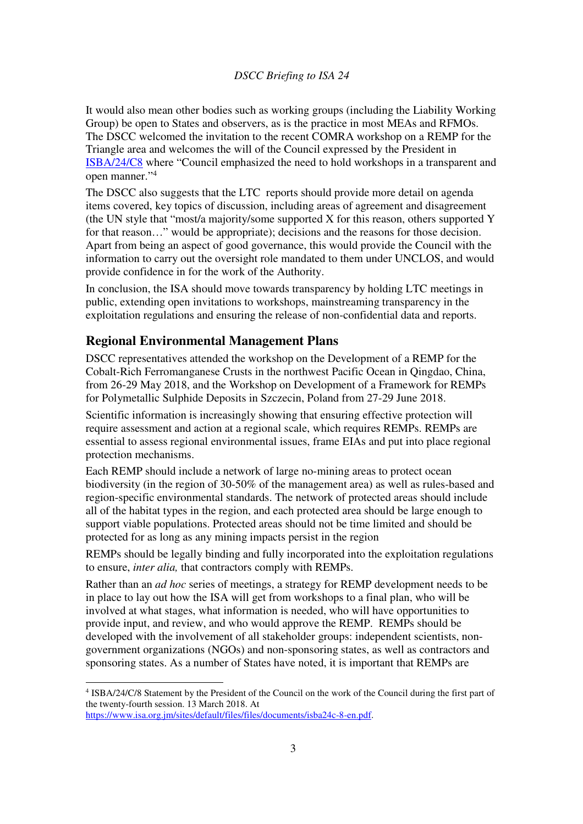It would also mean other bodies such as working groups (including the Liability Working Group) be open to States and observers, as is the practice in most MEAs and RFMOs. The DSCC welcomed the invitation to the recent COMRA workshop on a REMP for the Triangle area and welcomes the will of the Council expressed by the President in ISBA/24/C8 where "Council emphasized the need to hold workshops in a transparent and open manner."<sup>4</sup>

The DSCC also suggests that the LTC reports should provide more detail on agenda items covered, key topics of discussion, including areas of agreement and disagreement (the UN style that "most/a majority/some supported X for this reason, others supported Y for that reason..." would be appropriate); decisions and the reasons for those decision. Apart from being an aspect of good governance, this would provide the Council with the information to carry out the oversight role mandated to them under UNCLOS, and would provide confidence in for the work of the Authority.

In conclusion, the ISA should move towards transparency by holding LTC meetings in public, extending open invitations to workshops, mainstreaming transparency in the exploitation regulations and ensuring the release of non-confidential data and reports.

#### **Regional Environmental Management Plans**

DSCC representatives attended the workshop on the Development of a REMP for the Cobalt-Rich Ferromanganese Crusts in the northwest Pacific Ocean in Qingdao, China, from 26-29 May 2018, and the Workshop on Development of a Framework for REMPs for Polymetallic Sulphide Deposits in Szczecin, Poland from 27-29 June 2018.

Scientific information is increasingly showing that ensuring effective protection will require assessment and action at a regional scale, which requires REMPs. REMPs are essential to assess regional environmental issues, frame EIAs and put into place regional protection mechanisms.

Each REMP should include a network of large no-mining areas to protect ocean biodiversity (in the region of 30-50% of the management area) as well as rules-based and region-specific environmental standards. The network of protected areas should include all of the habitat types in the region, and each protected area should be large enough to support viable populations. Protected areas should not be time limited and should be protected for as long as any mining impacts persist in the region

REMPs should be legally binding and fully incorporated into the exploitation regulations to ensure, *inter alia,* that contractors comply with REMPs.

Rather than an *ad hoc* series of meetings, a strategy for REMP development needs to be in place to lay out how the ISA will get from workshops to a final plan, who will be involved at what stages, what information is needed, who will have opportunities to provide input, and review, and who would approve the REMP. REMPs should be developed with the involvement of all stakeholder groups: independent scientists, nongovernment organizations (NGOs) and non-sponsoring states, as well as contractors and sponsoring states. As a number of States have noted, it is important that REMPs are

l

<sup>4</sup> ISBA/24/C/8 Statement by the President of the Council on the work of the Council during the first part of the twenty-fourth session. 13 March 2018. At

https://www.isa.org.jm/sites/default/files/files/documents/isba24c-8-en.pdf.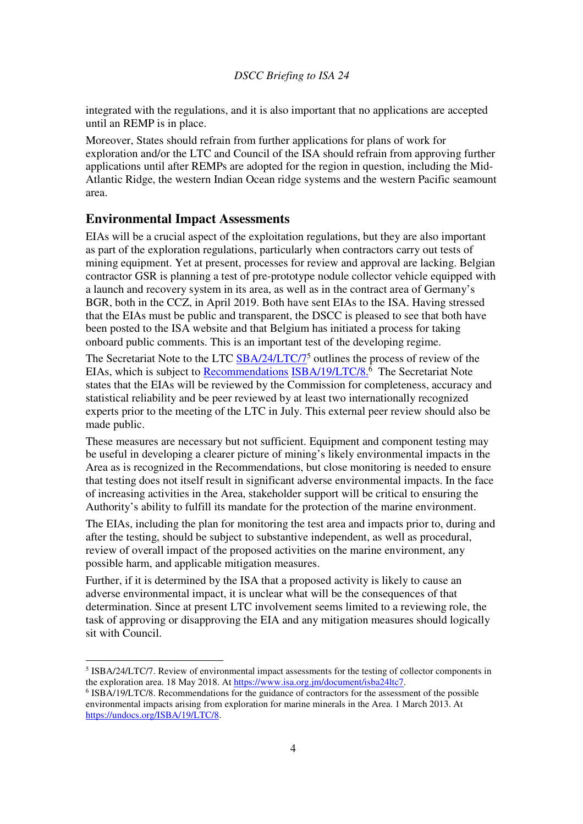integrated with the regulations, and it is also important that no applications are accepted until an REMP is in place.

Moreover, States should refrain from further applications for plans of work for exploration and/or the LTC and Council of the ISA should refrain from approving further applications until after REMPs are adopted for the region in question, including the Mid-Atlantic Ridge, the western Indian Ocean ridge systems and the western Pacific seamount area.

#### **Environmental Impact Assessments**

 $\overline{a}$ 

EIAs will be a crucial aspect of the exploitation regulations, but they are also important as part of the exploration regulations, particularly when contractors carry out tests of mining equipment. Yet at present, processes for review and approval are lacking. Belgian contractor GSR is planning a test of pre-prototype nodule collector vehicle equipped with a launch and recovery system in its area, as well as in the contract area of Germany's BGR, both in the CCZ, in April 2019. Both have sent EIAs to the ISA. Having stressed that the EIAs must be public and transparent, the DSCC is pleased to see that both have been posted to the ISA website and that Belgium has initiated a process for taking onboard public comments. This is an important test of the developing regime.

The Secretariat Note to the LTC **SBA/24/LTC/7<sup>5</sup>** outlines the process of review of the EIAs, which is subject to **Recommendations ISBA/19/LTC/8.**<sup>6</sup> The Secretariat Note states that the EIAs will be reviewed by the Commission for completeness, accuracy and statistical reliability and be peer reviewed by at least two internationally recognized experts prior to the meeting of the LTC in July. This external peer review should also be made public.

These measures are necessary but not sufficient. Equipment and component testing may be useful in developing a clearer picture of mining's likely environmental impacts in the Area as is recognized in the Recommendations, but close monitoring is needed to ensure that testing does not itself result in significant adverse environmental impacts. In the face of increasing activities in the Area, stakeholder support will be critical to ensuring the Authority's ability to fulfill its mandate for the protection of the marine environment.

The EIAs, including the plan for monitoring the test area and impacts prior to, during and after the testing, should be subject to substantive independent, as well as procedural, review of overall impact of the proposed activities on the marine environment, any possible harm, and applicable mitigation measures.

Further, if it is determined by the ISA that a proposed activity is likely to cause an adverse environmental impact, it is unclear what will be the consequences of that determination. Since at present LTC involvement seems limited to a reviewing role, the task of approving or disapproving the EIA and any mitigation measures should logically sit with Council.

<sup>&</sup>lt;sup>5</sup> ISBA/24/LTC/7. Review of environmental impact assessments for the testing of collector components in the exploration area. 18 May 2018. At https://www.isa.org.jm/document/isba24ltc7.

<sup>6</sup> ISBA/19/LTC/8. Recommendations for the guidance of contractors for the assessment of the possible environmental impacts arising from exploration for marine minerals in the Area. 1 March 2013. At https://undocs.org/ISBA/19/LTC/8.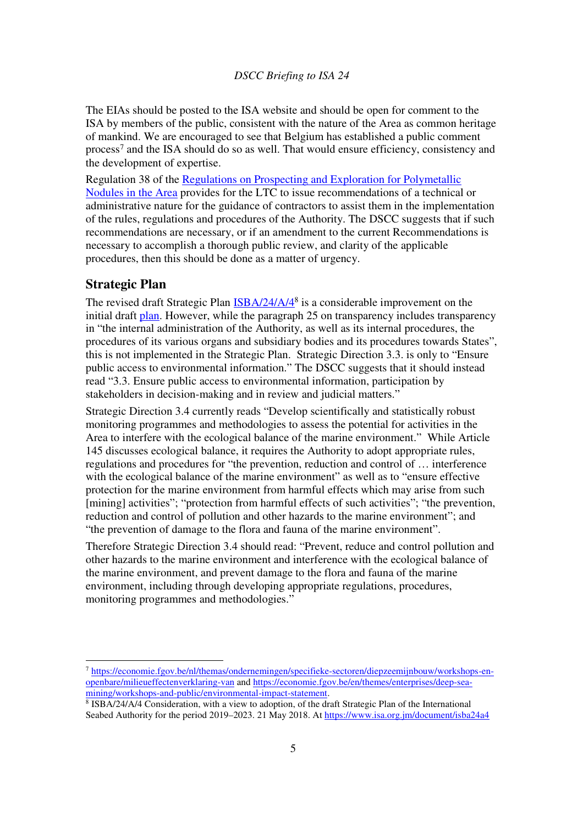The EIAs should be posted to the ISA website and should be open for comment to the ISA by members of the public, consistent with the nature of the Area as common heritage of mankind. We are encouraged to see that Belgium has established a public comment process<sup>7</sup> and the ISA should do so as well. That would ensure efficiency, consistency and the development of expertise.

Regulation 38 of the Regulations on Prospecting and Exploration for Polymetallic Nodules in the Area provides for the LTC to issue recommendations of a technical or administrative nature for the guidance of contractors to assist them in the implementation of the rules, regulations and procedures of the Authority. The DSCC suggests that if such recommendations are necessary, or if an amendment to the current Recommendations is necessary to accomplish a thorough public review, and clarity of the applicable procedures, then this should be done as a matter of urgency.

#### **Strategic Plan**

 $\overline{a}$ 

The revised draft Strategic Plan **ISBA/24/A/4<sup>8</sup>** is a considerable improvement on the initial draft plan. However, while the paragraph 25 on transparency includes transparency in "the internal administration of the Authority, as well as its internal procedures, the procedures of its various organs and subsidiary bodies and its procedures towards States", this is not implemented in the Strategic Plan. Strategic Direction 3.3. is only to "Ensure public access to environmental information." The DSCC suggests that it should instead read "3.3. Ensure public access to environmental information, participation by stakeholders in decision-making and in review and judicial matters."

Strategic Direction 3.4 currently reads "Develop scientifically and statistically robust monitoring programmes and methodologies to assess the potential for activities in the Area to interfere with the ecological balance of the marine environment." While Article 145 discusses ecological balance, it requires the Authority to adopt appropriate rules, regulations and procedures for "the prevention, reduction and control of … interference with the ecological balance of the marine environment" as well as to "ensure effective" protection for the marine environment from harmful effects which may arise from such [mining] activities"; "protection from harmful effects of such activities"; "the prevention, reduction and control of pollution and other hazards to the marine environment"; and "the prevention of damage to the flora and fauna of the marine environment".

Therefore Strategic Direction 3.4 should read: "Prevent, reduce and control pollution and other hazards to the marine environment and interference with the ecological balance of the marine environment, and prevent damage to the flora and fauna of the marine environment, including through developing appropriate regulations, procedures, monitoring programmes and methodologies."

<sup>7</sup> https://economie.fgov.be/nl/themas/ondernemingen/specifieke-sectoren/diepzeemijnbouw/workshops-enopenbare/milieueffectenverklaring-van and https://economie.fgov.be/en/themes/enterprises/deep-seamining/workshops-and-public/environmental-impact-statement.

<sup>&</sup>lt;sup>8</sup> ISBA/24/A/4 Consideration, with a view to adoption, of the draft Strategic Plan of the International Seabed Authority for the period 2019–2023. 21 May 2018. At https://www.isa.org.jm/document/isba24a4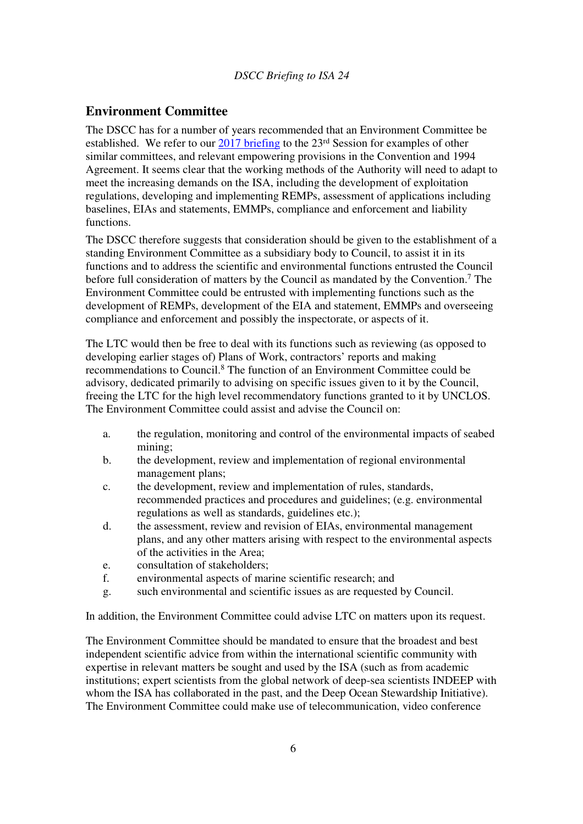## **Environment Committee**

The DSCC has for a number of years recommended that an Environment Committee be established. We refer to our  $\frac{2017 \text{ briefly}}{201}$  briefing to the 23<sup>rd</sup> Session for examples of other similar committees, and relevant empowering provisions in the Convention and 1994 Agreement. It seems clear that the working methods of the Authority will need to adapt to meet the increasing demands on the ISA, including the development of exploitation regulations, developing and implementing REMPs, assessment of applications including baselines, EIAs and statements, EMMPs, compliance and enforcement and liability functions.

The DSCC therefore suggests that consideration should be given to the establishment of a standing Environment Committee as a subsidiary body to Council, to assist it in its functions and to address the scientific and environmental functions entrusted the Council before full consideration of matters by the Council as mandated by the Convention.<sup>7</sup> The Environment Committee could be entrusted with implementing functions such as the development of REMPs, development of the EIA and statement, EMMPs and overseeing compliance and enforcement and possibly the inspectorate, or aspects of it.

The LTC would then be free to deal with its functions such as reviewing (as opposed to developing earlier stages of) Plans of Work, contractors' reports and making recommendations to Council.<sup>8</sup> The function of an Environment Committee could be advisory, dedicated primarily to advising on specific issues given to it by the Council, freeing the LTC for the high level recommendatory functions granted to it by UNCLOS. The Environment Committee could assist and advise the Council on:

- a. the regulation, monitoring and control of the environmental impacts of seabed mining;
- b. the development, review and implementation of regional environmental management plans;
- c. the development, review and implementation of rules, standards, recommended practices and procedures and guidelines; (e.g. environmental regulations as well as standards, guidelines etc.);
- d. the assessment, review and revision of EIAs, environmental management plans, and any other matters arising with respect to the environmental aspects of the activities in the Area;
- e. consultation of stakeholders;
- f. environmental aspects of marine scientific research; and
- g. such environmental and scientific issues as are requested by Council.

In addition, the Environment Committee could advise LTC on matters upon its request.

The Environment Committee should be mandated to ensure that the broadest and best independent scientific advice from within the international scientific community with expertise in relevant matters be sought and used by the ISA (such as from academic institutions; expert scientists from the global network of deep-sea scientists INDEEP with whom the ISA has collaborated in the past, and the Deep Ocean Stewardship Initiative). The Environment Committee could make use of telecommunication, video conference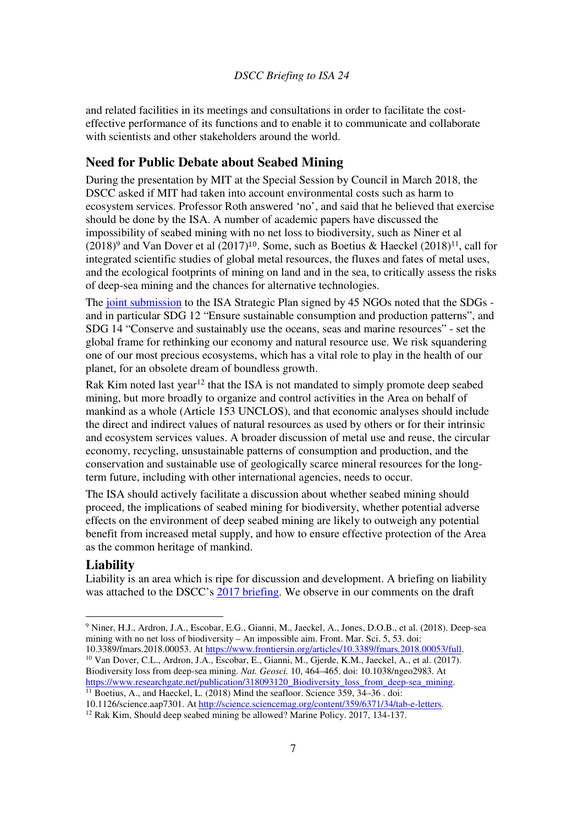and related facilities in its meetings and consultations in order to facilitate the costeffective performance of its functions and to enable it to communicate and collaborate with scientists and other stakeholders around the world.

### **Need for Public Debate about Seabed Mining**

During the presentation by MIT at the Special Session by Council in March 2018, the DSCC asked if MIT had taken into account environmental costs such as harm to ecosystem services. Professor Roth answered 'no', and said that he believed that exercise should be done by the ISA. A number of academic papers have discussed the impossibility of seabed mining with no net loss to biodiversity, such as Niner et al  $(2018)^9$  and Van Dover et al  $(2017)^{10}$ . Some, such as Boetius & Haeckel  $(2018)^{11}$ , call for integrated scientific studies of global metal resources, the fluxes and fates of metal uses, and the ecological footprints of mining on land and in the sea, to critically assess the risks of deep-sea mining and the chances for alternative technologies.

The joint submission to the ISA Strategic Plan signed by 45 NGOs noted that the SDGs and in particular SDG 12 "Ensure sustainable consumption and production patterns", and SDG 14 "Conserve and sustainably use the oceans, seas and marine resources" - set the global frame for rethinking our economy and natural resource use. We risk squandering one of our most precious ecosystems, which has a vital role to play in the health of our planet, for an obsolete dream of boundless growth.

Rak Kim noted last year<sup>12</sup> that the ISA is not mandated to simply promote deep seabed mining, but more broadly to organize and control activities in the Area on behalf of mankind as a whole (Article 153 UNCLOS), and that economic analyses should include the direct and indirect values of natural resources as used by others or for their intrinsic and ecosystem services values. A broader discussion of metal use and reuse, the circular economy, recycling, unsustainable patterns of consumption and production, and the conservation and sustainable use of geologically scarce mineral resources for the longterm future, including with other international agencies, needs to occur.

The ISA should actively facilitate a discussion about whether seabed mining should proceed, the implications of seabed mining for biodiversity, whether potential adverse effects on the environment of deep seabed mining are likely to outweigh any potential benefit from increased metal supply, and how to ensure effective protection of the Area as the common heritage of mankind.

#### **Liability**

l

Liability is an area which is ripe for discussion and development. A briefing on liability was attached to the DSCC's 2017 briefing. We observe in our comments on the draft

<sup>9</sup> Niner, H.J., Ardron, J.A., Escobar, E.G., Gianni, M., Jaeckel, A., Jones, D.O.B., et al. (2018). Deep-sea mining with no net loss of biodiversity – An impossible aim. Front. Mar. Sci. 5, 53. doi: 10.3389/fmars.2018.00053. At https://www.frontiersin.org/articles/10.3389/fmars.2018.00053/full.

<sup>10</sup> Van Dover, C.L., Ardron, J.A., Escobar, E., Gianni, M., Gjerde, K.M., Jaeckel, A., et al. (2017). Biodiversity loss from deep-sea mining. *Nat. Geosci.* 10, 464–465. doi: 10.1038/ngeo2983. At https://www.researchgate.net/publication/318093120\_Biodiversity\_loss\_from\_deep-sea\_mining.

 $11$  Boetius, A., and Haeckel, L. (2018) Mind the seafloor. Science 359, 34–36 . doi: 10.1126/science.aap7301. At http://science.sciencemag.org/content/359/6371/34/tab-e-letters.

<sup>&</sup>lt;sup>12</sup> Rak Kim, Should deep seabed mining be allowed? Marine Policy. 2017, 134-137.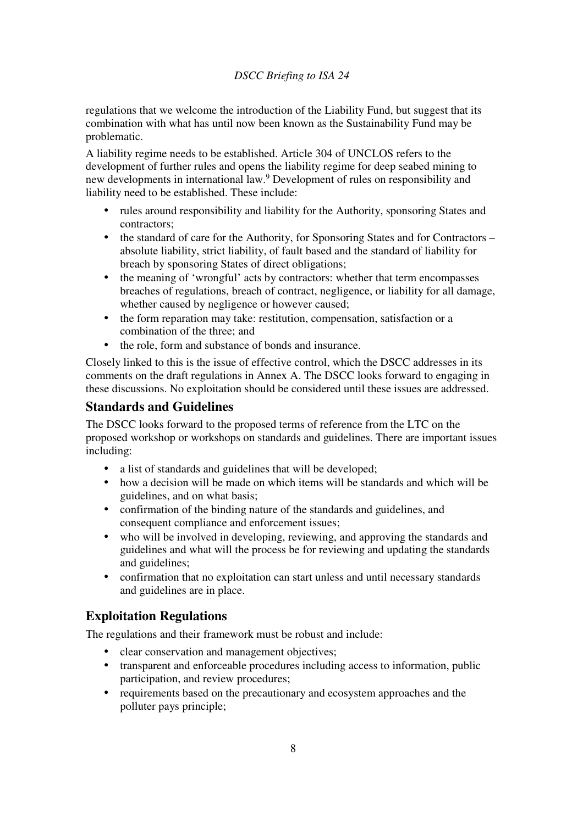regulations that we welcome the introduction of the Liability Fund, but suggest that its combination with what has until now been known as the Sustainability Fund may be problematic.

A liability regime needs to be established. Article 304 of UNCLOS refers to the development of further rules and opens the liability regime for deep seabed mining to new developments in international law.<sup>9</sup> Development of rules on responsibility and liability need to be established. These include:

- rules around responsibility and liability for the Authority, sponsoring States and contractors;
- the standard of care for the Authority, for Sponsoring States and for Contractors absolute liability, strict liability, of fault based and the standard of liability for breach by sponsoring States of direct obligations;
- the meaning of 'wrongful' acts by contractors: whether that term encompasses breaches of regulations, breach of contract, negligence, or liability for all damage, whether caused by negligence or however caused;
- the form reparation may take: restitution, compensation, satisfaction or a combination of the three; and
- the role, form and substance of bonds and insurance.

Closely linked to this is the issue of effective control, which the DSCC addresses in its comments on the draft regulations in Annex A. The DSCC looks forward to engaging in these discussions. No exploitation should be considered until these issues are addressed.

## **Standards and Guidelines**

The DSCC looks forward to the proposed terms of reference from the LTC on the proposed workshop or workshops on standards and guidelines. There are important issues including:

- a list of standards and guidelines that will be developed;
- how a decision will be made on which items will be standards and which will be guidelines, and on what basis;
- confirmation of the binding nature of the standards and guidelines, and consequent compliance and enforcement issues;
- who will be involved in developing, reviewing, and approving the standards and guidelines and what will the process be for reviewing and updating the standards and guidelines;
- confirmation that no exploitation can start unless and until necessary standards and guidelines are in place.

# **Exploitation Regulations**

The regulations and their framework must be robust and include:

- clear conservation and management objectives;
- transparent and enforceable procedures including access to information, public participation, and review procedures;
- requirements based on the precautionary and ecosystem approaches and the polluter pays principle;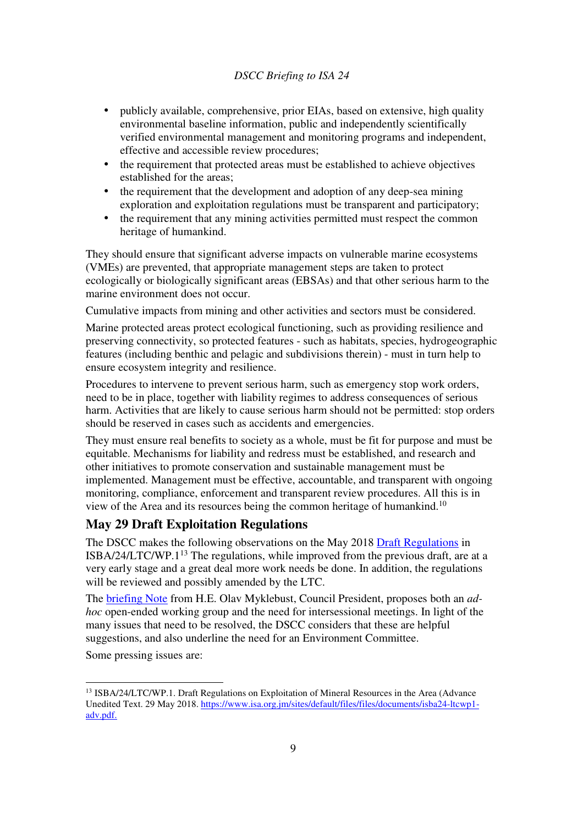- publicly available, comprehensive, prior EIAs, based on extensive, high quality environmental baseline information, public and independently scientifically verified environmental management and monitoring programs and independent, effective and accessible review procedures;
- the requirement that protected areas must be established to achieve objectives established for the areas;
- the requirement that the development and adoption of any deep-sea mining exploration and exploitation regulations must be transparent and participatory;
- the requirement that any mining activities permitted must respect the common heritage of humankind.

They should ensure that significant adverse impacts on vulnerable marine ecosystems (VMEs) are prevented, that appropriate management steps are taken to protect ecologically or biologically significant areas (EBSAs) and that other serious harm to the marine environment does not occur.

Cumulative impacts from mining and other activities and sectors must be considered.

Marine protected areas protect ecological functioning, such as providing resilience and preserving connectivity, so protected features - such as habitats, species, hydrogeographic features (including benthic and pelagic and subdivisions therein) - must in turn help to ensure ecosystem integrity and resilience.

Procedures to intervene to prevent serious harm, such as emergency stop work orders, need to be in place, together with liability regimes to address consequences of serious harm. Activities that are likely to cause serious harm should not be permitted: stop orders should be reserved in cases such as accidents and emergencies.

They must ensure real benefits to society as a whole, must be fit for purpose and must be equitable. Mechanisms for liability and redress must be established, and research and other initiatives to promote conservation and sustainable management must be implemented. Management must be effective, accountable, and transparent with ongoing monitoring, compliance, enforcement and transparent review procedures. All this is in view of the Area and its resources being the common heritage of humankind.<sup>10</sup>

### **May 29 Draft Exploitation Regulations**

The DSCC makes the following observations on the May 2018 Draft Regulations in ISBA/24/LTC/WP.1<sup>13</sup> The regulations, while improved from the previous draft, are at a very early stage and a great deal more work needs be done. In addition, the regulations will be reviewed and possibly amended by the LTC.

The briefing Note from H.E. Olav Myklebust, Council President, proposes both an *adhoc* open-ended working group and the need for intersessional meetings. In light of the many issues that need to be resolved, the DSCC considers that these are helpful suggestions, and also underline the need for an Environment Committee.

Some pressing issues are:

l

<sup>&</sup>lt;sup>13</sup> ISBA/24/LTC/WP.1. Draft Regulations on Exploitation of Mineral Resources in the Area (Advance Unedited Text. 29 May 2018. https://www.isa.org.jm/sites/default/files/files/documents/isba24-ltcwp1 adv.pdf.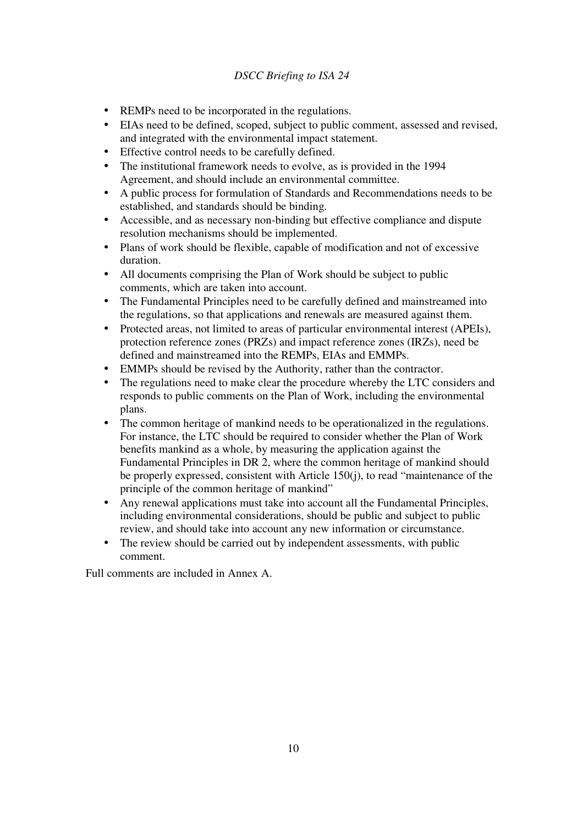- REMPs need to be incorporated in the regulations.
- EIAs need to be defined, scoped, subject to public comment, assessed and revised, and integrated with the environmental impact statement.
- Effective control needs to be carefully defined.
- The institutional framework needs to evolve, as is provided in the 1994 Agreement, and should include an environmental committee.
- A public process for formulation of Standards and Recommendations needs to be established, and standards should be binding.
- Accessible, and as necessary non-binding but effective compliance and dispute resolution mechanisms should be implemented.
- Plans of work should be flexible, capable of modification and not of excessive duration.
- All documents comprising the Plan of Work should be subject to public comments, which are taken into account.
- The Fundamental Principles need to be carefully defined and mainstreamed into the regulations, so that applications and renewals are measured against them.
- Protected areas, not limited to areas of particular environmental interest (APEIs), protection reference zones (PRZs) and impact reference zones (IRZs), need be defined and mainstreamed into the REMPs, EIAs and EMMPs.
- EMMPs should be revised by the Authority, rather than the contractor.
- The regulations need to make clear the procedure whereby the LTC considers and responds to public comments on the Plan of Work, including the environmental plans.
- The common heritage of mankind needs to be operationalized in the regulations. For instance, the LTC should be required to consider whether the Plan of Work benefits mankind as a whole, by measuring the application against the Fundamental Principles in DR 2, where the common heritage of mankind should be properly expressed, consistent with Article 150(j), to read "maintenance of the principle of the common heritage of mankind"
- Any renewal applications must take into account all the Fundamental Principles, including environmental considerations, should be public and subject to public review, and should take into account any new information or circumstance.
- The review should be carried out by independent assessments, with public comment.

Full comments are included in Annex A.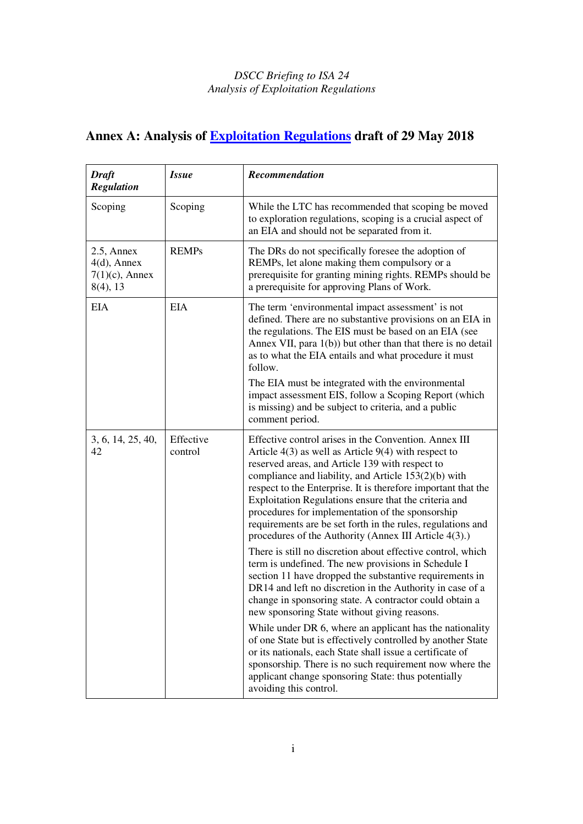# **Annex A: Analysis of Exploitation Regulations draft of 29 May 2018**

| <b>Draft</b><br><b>Regulation</b>                                   | <i>Issue</i>         | Recommendation                                                                                                                                                                                                                                                                                                                                                                                                                                                                                                                     |
|---------------------------------------------------------------------|----------------------|------------------------------------------------------------------------------------------------------------------------------------------------------------------------------------------------------------------------------------------------------------------------------------------------------------------------------------------------------------------------------------------------------------------------------------------------------------------------------------------------------------------------------------|
| Scoping                                                             | Scoping              | While the LTC has recommended that scoping be moved<br>to exploration regulations, scoping is a crucial aspect of<br>an EIA and should not be separated from it.                                                                                                                                                                                                                                                                                                                                                                   |
| $2.5$ , Annex<br>$4(d)$ , Annex<br>$7(1)(c)$ , Annex<br>$8(4)$ , 13 | <b>REMPs</b>         | The DRs do not specifically foresee the adoption of<br>REMPs, let alone making them compulsory or a<br>prerequisite for granting mining rights. REMPs should be<br>a prerequisite for approving Plans of Work.                                                                                                                                                                                                                                                                                                                     |
| <b>EIA</b>                                                          | EIA                  | The term 'environmental impact assessment' is not<br>defined. There are no substantive provisions on an EIA in<br>the regulations. The EIS must be based on an EIA (see<br>Annex VII, para 1(b)) but other than that there is no detail<br>as to what the EIA entails and what procedure it must<br>follow.                                                                                                                                                                                                                        |
|                                                                     |                      | The EIA must be integrated with the environmental<br>impact assessment EIS, follow a Scoping Report (which<br>is missing) and be subject to criteria, and a public<br>comment period.                                                                                                                                                                                                                                                                                                                                              |
| 3, 6, 14, 25, 40,<br>42                                             | Effective<br>control | Effective control arises in the Convention. Annex III<br>Article $4(3)$ as well as Article $9(4)$ with respect to<br>reserved areas, and Article 139 with respect to<br>compliance and liability, and Article 153(2)(b) with<br>respect to the Enterprise. It is therefore important that the<br>Exploitation Regulations ensure that the criteria and<br>procedures for implementation of the sponsorship<br>requirements are be set forth in the rules, regulations and<br>procedures of the Authority (Annex III Article 4(3).) |
|                                                                     |                      | There is still no discretion about effective control, which<br>term is undefined. The new provisions in Schedule I<br>section 11 have dropped the substantive requirements in<br>DR14 and left no discretion in the Authority in case of a<br>change in sponsoring state. A contractor could obtain a<br>new sponsoring State without giving reasons.                                                                                                                                                                              |
|                                                                     |                      | While under DR 6, where an applicant has the nationality<br>of one State but is effectively controlled by another State<br>or its nationals, each State shall issue a certificate of<br>sponsorship. There is no such requirement now where the<br>applicant change sponsoring State: thus potentially<br>avoiding this control.                                                                                                                                                                                                   |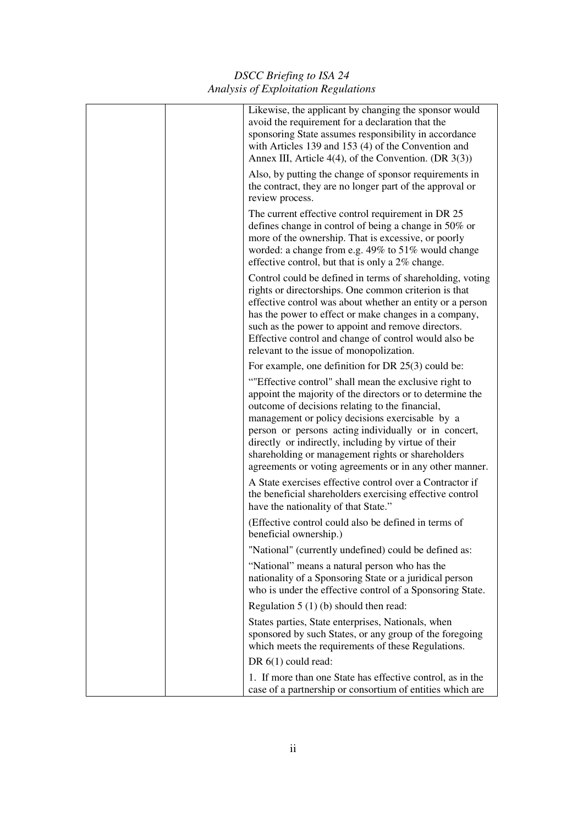| Likewise, the applicant by changing the sponsor would<br>avoid the requirement for a declaration that the<br>sponsoring State assumes responsibility in accordance<br>with Articles 139 and 153 (4) of the Convention and<br>Annex III, Article $4(4)$ , of the Convention. (DR $3(3)$ )                                                                                                                                                                  |
|-----------------------------------------------------------------------------------------------------------------------------------------------------------------------------------------------------------------------------------------------------------------------------------------------------------------------------------------------------------------------------------------------------------------------------------------------------------|
| Also, by putting the change of sponsor requirements in<br>the contract, they are no longer part of the approval or<br>review process.                                                                                                                                                                                                                                                                                                                     |
| The current effective control requirement in DR 25<br>defines change in control of being a change in 50% or<br>more of the ownership. That is excessive, or poorly<br>worded: a change from e.g. 49% to 51% would change<br>effective control, but that is only a 2% change.                                                                                                                                                                              |
| Control could be defined in terms of shareholding, voting<br>rights or directorships. One common criterion is that<br>effective control was about whether an entity or a person<br>has the power to effect or make changes in a company,<br>such as the power to appoint and remove directors.<br>Effective control and change of control would also be<br>relevant to the issue of monopolization.                                                       |
| For example, one definition for DR $25(3)$ could be:                                                                                                                                                                                                                                                                                                                                                                                                      |
| ""Effective control" shall mean the exclusive right to<br>appoint the majority of the directors or to determine the<br>outcome of decisions relating to the financial,<br>management or policy decisions exercisable by a<br>person or persons acting individually or in concert,<br>directly or indirectly, including by virtue of their<br>shareholding or management rights or shareholders<br>agreements or voting agreements or in any other manner. |
| A State exercises effective control over a Contractor if<br>the beneficial shareholders exercising effective control<br>have the nationality of that State."                                                                                                                                                                                                                                                                                              |
| (Effective control could also be defined in terms of<br>beneficial ownership.)                                                                                                                                                                                                                                                                                                                                                                            |
| "National" (currently undefined) could be defined as:                                                                                                                                                                                                                                                                                                                                                                                                     |
| "National" means a natural person who has the<br>nationality of a Sponsoring State or a juridical person<br>who is under the effective control of a Sponsoring State.                                                                                                                                                                                                                                                                                     |
| Regulation $5(1)(b)$ should then read:                                                                                                                                                                                                                                                                                                                                                                                                                    |
| States parties, State enterprises, Nationals, when<br>sponsored by such States, or any group of the foregoing<br>which meets the requirements of these Regulations.                                                                                                                                                                                                                                                                                       |
| DR 6(1) could read:                                                                                                                                                                                                                                                                                                                                                                                                                                       |
| 1. If more than one State has effective control, as in the<br>case of a partnership or consortium of entities which are                                                                                                                                                                                                                                                                                                                                   |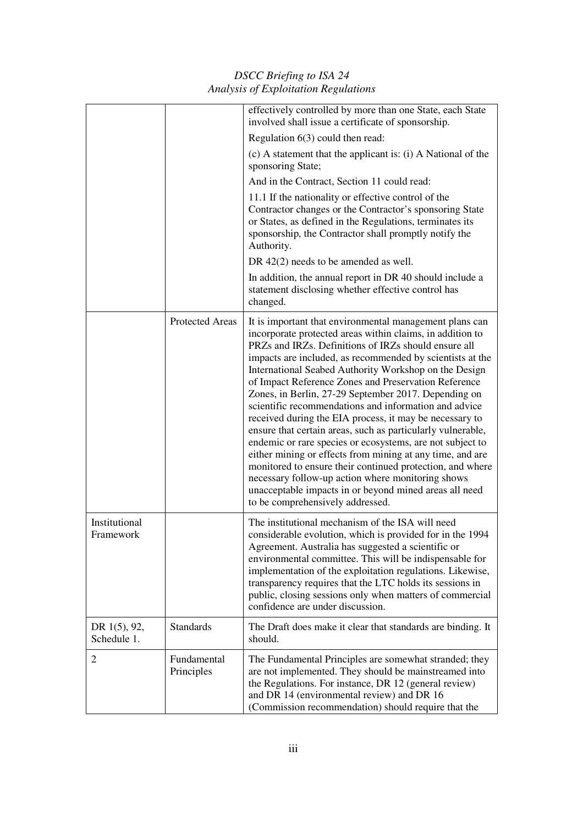*DSCC Briefing to ISA 24 Analysis of Exploitation Regulations* 

|                             |                           | effectively controlled by more than one State, each State<br>involved shall issue a certificate of sponsorship.                                                                                                                                                                                                                                                                                                                                                                                                                                                                                                                                                                                                                                                                                                                                                                                                                                 |
|-----------------------------|---------------------------|-------------------------------------------------------------------------------------------------------------------------------------------------------------------------------------------------------------------------------------------------------------------------------------------------------------------------------------------------------------------------------------------------------------------------------------------------------------------------------------------------------------------------------------------------------------------------------------------------------------------------------------------------------------------------------------------------------------------------------------------------------------------------------------------------------------------------------------------------------------------------------------------------------------------------------------------------|
|                             |                           | Regulation $6(3)$ could then read:                                                                                                                                                                                                                                                                                                                                                                                                                                                                                                                                                                                                                                                                                                                                                                                                                                                                                                              |
|                             |                           | (c) A statement that the applicant is: (i) A National of the<br>sponsoring State;                                                                                                                                                                                                                                                                                                                                                                                                                                                                                                                                                                                                                                                                                                                                                                                                                                                               |
|                             |                           | And in the Contract, Section 11 could read:                                                                                                                                                                                                                                                                                                                                                                                                                                                                                                                                                                                                                                                                                                                                                                                                                                                                                                     |
|                             |                           | 11.1 If the nationality or effective control of the<br>Contractor changes or the Contractor's sponsoring State<br>or States, as defined in the Regulations, terminates its<br>sponsorship, the Contractor shall promptly notify the<br>Authority.                                                                                                                                                                                                                                                                                                                                                                                                                                                                                                                                                                                                                                                                                               |
|                             |                           | DR 42(2) needs to be amended as well.                                                                                                                                                                                                                                                                                                                                                                                                                                                                                                                                                                                                                                                                                                                                                                                                                                                                                                           |
|                             |                           | In addition, the annual report in DR 40 should include a<br>statement disclosing whether effective control has<br>changed.                                                                                                                                                                                                                                                                                                                                                                                                                                                                                                                                                                                                                                                                                                                                                                                                                      |
|                             | <b>Protected Areas</b>    | It is important that environmental management plans can<br>incorporate protected areas within claims, in addition to<br>PRZs and IRZs. Definitions of IRZs should ensure all<br>impacts are included, as recommended by scientists at the<br>International Seabed Authority Workshop on the Design<br>of Impact Reference Zones and Preservation Reference<br>Zones, in Berlin, 27-29 September 2017. Depending on<br>scientific recommendations and information and advice<br>received during the EIA process, it may be necessary to<br>ensure that certain areas, such as particularly vulnerable,<br>endemic or rare species or ecosystems, are not subject to<br>either mining or effects from mining at any time, and are<br>monitored to ensure their continued protection, and where<br>necessary follow-up action where monitoring shows<br>unacceptable impacts in or beyond mined areas all need<br>to be comprehensively addressed. |
| Institutional<br>Framework  |                           | The institutional mechanism of the ISA will need<br>considerable evolution, which is provided for in the 1994<br>Agreement. Australia has suggested a scientific or<br>environmental committee. This will be indispensable for<br>implementation of the exploitation regulations. Likewise,<br>transparency requires that the LTC holds its sessions in<br>public, closing sessions only when matters of commercial<br>confidence are under discussion.                                                                                                                                                                                                                                                                                                                                                                                                                                                                                         |
| DR 1(5), 92,<br>Schedule 1. | <b>Standards</b>          | The Draft does make it clear that standards are binding. It<br>should.                                                                                                                                                                                                                                                                                                                                                                                                                                                                                                                                                                                                                                                                                                                                                                                                                                                                          |
| $\overline{2}$              | Fundamental<br>Principles | The Fundamental Principles are somewhat stranded; they<br>are not implemented. They should be mainstreamed into<br>the Regulations. For instance, DR 12 (general review)<br>and DR 14 (environmental review) and DR 16<br>(Commission recommendation) should require that the                                                                                                                                                                                                                                                                                                                                                                                                                                                                                                                                                                                                                                                                   |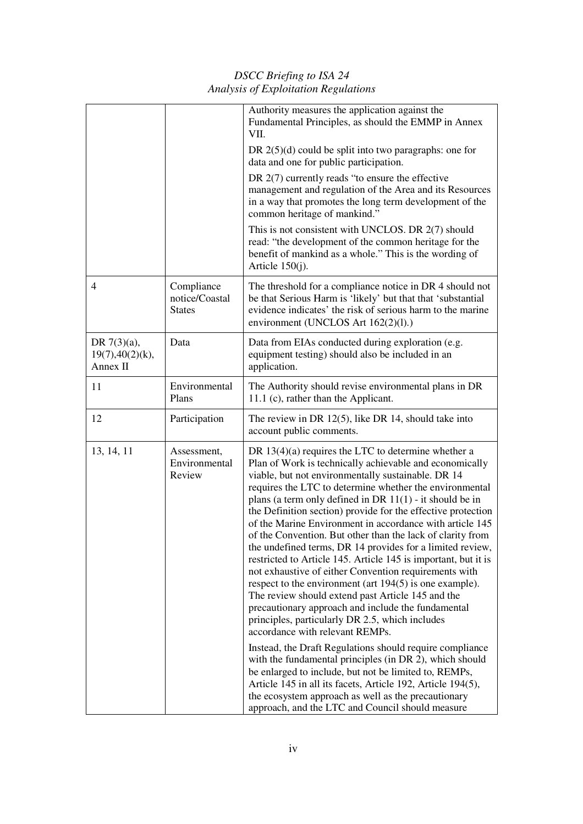*DSCC Briefing to ISA 24 Analysis of Exploitation Regulations* 

|                                                |                                               | Authority measures the application against the<br>Fundamental Principles, as should the EMMP in Annex<br>VII.                                                                                                                                                                                                                                                                                                                                                                                                                                                                                                                                                                                                                                                                                                                                                                                                                                     |
|------------------------------------------------|-----------------------------------------------|---------------------------------------------------------------------------------------------------------------------------------------------------------------------------------------------------------------------------------------------------------------------------------------------------------------------------------------------------------------------------------------------------------------------------------------------------------------------------------------------------------------------------------------------------------------------------------------------------------------------------------------------------------------------------------------------------------------------------------------------------------------------------------------------------------------------------------------------------------------------------------------------------------------------------------------------------|
|                                                |                                               | DR $2(5)(d)$ could be split into two paragraphs: one for<br>data and one for public participation.                                                                                                                                                                                                                                                                                                                                                                                                                                                                                                                                                                                                                                                                                                                                                                                                                                                |
|                                                |                                               | DR $2(7)$ currently reads "to ensure the effective"<br>management and regulation of the Area and its Resources<br>in a way that promotes the long term development of the<br>common heritage of mankind."                                                                                                                                                                                                                                                                                                                                                                                                                                                                                                                                                                                                                                                                                                                                         |
|                                                |                                               | This is not consistent with UNCLOS. DR 2(7) should<br>read: "the development of the common heritage for the<br>benefit of mankind as a whole." This is the wording of<br>Article $150(j)$ .                                                                                                                                                                                                                                                                                                                                                                                                                                                                                                                                                                                                                                                                                                                                                       |
| $\overline{4}$                                 | Compliance<br>notice/Coastal<br><b>States</b> | The threshold for a compliance notice in DR 4 should not<br>be that Serious Harm is 'likely' but that that 'substantial<br>evidence indicates' the risk of serious harm to the marine<br>environment (UNCLOS Art 162(2)(l).)                                                                                                                                                                                                                                                                                                                                                                                                                                                                                                                                                                                                                                                                                                                      |
| DR $7(3)(a)$ ,<br>19(7), 40(2)(k),<br>Annex II | Data                                          | Data from EIAs conducted during exploration (e.g.<br>equipment testing) should also be included in an<br>application.                                                                                                                                                                                                                                                                                                                                                                                                                                                                                                                                                                                                                                                                                                                                                                                                                             |
| 11                                             | Environmental<br>Plans                        | The Authority should revise environmental plans in DR<br>11.1 (c), rather than the Applicant.                                                                                                                                                                                                                                                                                                                                                                                                                                                                                                                                                                                                                                                                                                                                                                                                                                                     |
| 12                                             | Participation                                 | The review in DR $12(5)$ , like DR 14, should take into<br>account public comments.                                                                                                                                                                                                                                                                                                                                                                                                                                                                                                                                                                                                                                                                                                                                                                                                                                                               |
| 13, 14, 11                                     | Assessment,<br>Environmental<br>Review        | DR $13(4)(a)$ requires the LTC to determine whether a<br>Plan of Work is technically achievable and economically<br>viable, but not environmentally sustainable. DR 14<br>requires the LTC to determine whether the environmental<br>plans (a term only defined in DR $11(1)$ - it should be in<br>the Definition section) provide for the effective protection<br>of the Marine Environment in accordance with article 145<br>of the Convention. But other than the lack of clarity from<br>the undefined terms, DR 14 provides for a limited review,<br>restricted to Article 145. Article 145 is important, but it is<br>not exhaustive of either Convention requirements with<br>respect to the environment (art $194(5)$ ) is one example).<br>The review should extend past Article 145 and the<br>precautionary approach and include the fundamental<br>principles, particularly DR 2.5, which includes<br>accordance with relevant REMPs. |
|                                                |                                               | Instead, the Draft Regulations should require compliance<br>with the fundamental principles (in DR 2), which should<br>be enlarged to include, but not be limited to, REMPs,<br>Article 145 in all its facets, Article 192, Article 194(5),<br>the ecosystem approach as well as the precautionary<br>approach, and the LTC and Council should measure                                                                                                                                                                                                                                                                                                                                                                                                                                                                                                                                                                                            |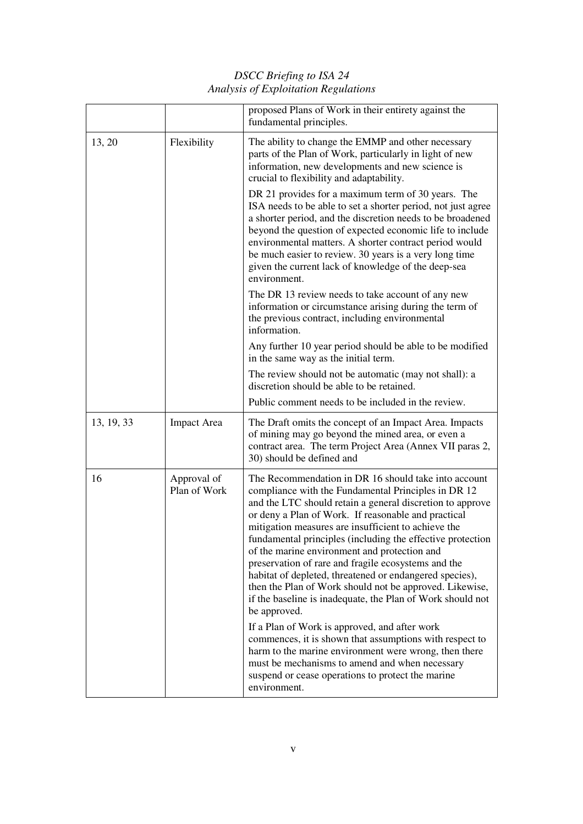|            |                             | proposed Plans of Work in their entirety against the<br>fundamental principles.                                                                                                                                                                                                                                                                                                                                                                                                                                                                                                                                                                                 |
|------------|-----------------------------|-----------------------------------------------------------------------------------------------------------------------------------------------------------------------------------------------------------------------------------------------------------------------------------------------------------------------------------------------------------------------------------------------------------------------------------------------------------------------------------------------------------------------------------------------------------------------------------------------------------------------------------------------------------------|
| 13, 20     | Flexibility                 | The ability to change the EMMP and other necessary<br>parts of the Plan of Work, particularly in light of new<br>information, new developments and new science is<br>crucial to flexibility and adaptability.                                                                                                                                                                                                                                                                                                                                                                                                                                                   |
|            |                             | DR 21 provides for a maximum term of 30 years. The<br>ISA needs to be able to set a shorter period, not just agree<br>a shorter period, and the discretion needs to be broadened<br>beyond the question of expected economic life to include<br>environmental matters. A shorter contract period would<br>be much easier to review. 30 years is a very long time<br>given the current lack of knowledge of the deep-sea<br>environment.                                                                                                                                                                                                                         |
|            |                             | The DR 13 review needs to take account of any new<br>information or circumstance arising during the term of<br>the previous contract, including environmental<br>information.                                                                                                                                                                                                                                                                                                                                                                                                                                                                                   |
|            |                             | Any further 10 year period should be able to be modified<br>in the same way as the initial term.                                                                                                                                                                                                                                                                                                                                                                                                                                                                                                                                                                |
|            |                             | The review should not be automatic (may not shall): a<br>discretion should be able to be retained.                                                                                                                                                                                                                                                                                                                                                                                                                                                                                                                                                              |
|            |                             | Public comment needs to be included in the review.                                                                                                                                                                                                                                                                                                                                                                                                                                                                                                                                                                                                              |
| 13, 19, 33 | <b>Impact Area</b>          | The Draft omits the concept of an Impact Area. Impacts<br>of mining may go beyond the mined area, or even a<br>contract area. The term Project Area (Annex VII paras 2,<br>30) should be defined and                                                                                                                                                                                                                                                                                                                                                                                                                                                            |
| 16         | Approval of<br>Plan of Work | The Recommendation in DR 16 should take into account<br>compliance with the Fundamental Principles in DR 12<br>and the LTC should retain a general discretion to approve<br>or deny a Plan of Work. If reasonable and practical<br>mitigation measures are insufficient to achieve the<br>fundamental principles (including the effective protection<br>of the marine environment and protection and<br>preservation of rare and fragile ecosystems and the<br>habitat of depleted, threatened or endangered species),<br>then the Plan of Work should not be approved. Likewise,<br>if the baseline is inadequate, the Plan of Work should not<br>be approved. |
|            |                             | If a Plan of Work is approved, and after work<br>commences, it is shown that assumptions with respect to<br>harm to the marine environment were wrong, then there<br>must be mechanisms to amend and when necessary<br>suspend or cease operations to protect the marine<br>environment.                                                                                                                                                                                                                                                                                                                                                                        |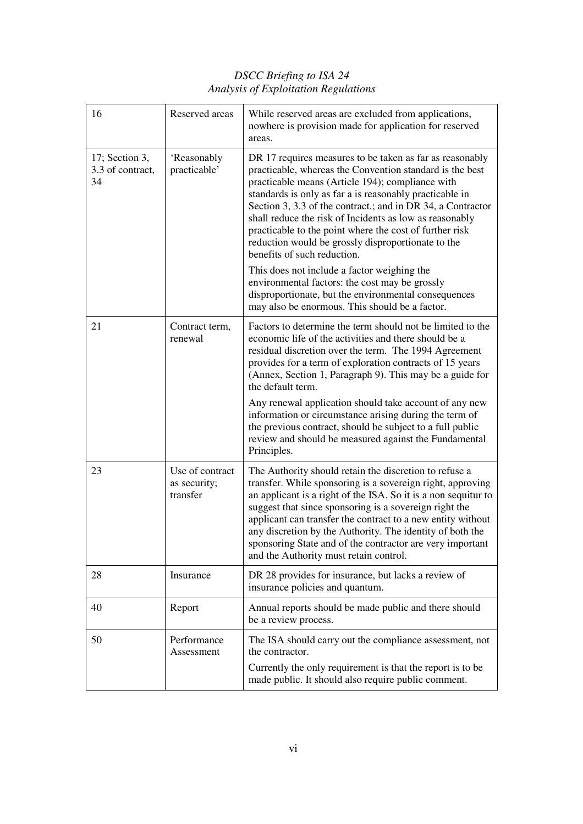| 16                                       | Reserved areas                              | While reserved areas are excluded from applications,<br>nowhere is provision made for application for reserved<br>areas.                                                                                                                                                                                                                                                                                                                                                                                                                                                                                                                                                                                                 |
|------------------------------------------|---------------------------------------------|--------------------------------------------------------------------------------------------------------------------------------------------------------------------------------------------------------------------------------------------------------------------------------------------------------------------------------------------------------------------------------------------------------------------------------------------------------------------------------------------------------------------------------------------------------------------------------------------------------------------------------------------------------------------------------------------------------------------------|
| 17; Section 3,<br>3.3 of contract,<br>34 | 'Reasonably<br>practicable'                 | DR 17 requires measures to be taken as far as reasonably<br>practicable, whereas the Convention standard is the best<br>practicable means (Article 194); compliance with<br>standards is only as far a is reasonably practicable in<br>Section 3, 3.3 of the contract.; and in DR 34, a Contractor<br>shall reduce the risk of Incidents as low as reasonably<br>practicable to the point where the cost of further risk<br>reduction would be grossly disproportionate to the<br>benefits of such reduction.<br>This does not include a factor weighing the<br>environmental factors: the cost may be grossly<br>disproportionate, but the environmental consequences<br>may also be enormous. This should be a factor. |
| 21                                       | Contract term,<br>renewal                   | Factors to determine the term should not be limited to the<br>economic life of the activities and there should be a<br>residual discretion over the term. The 1994 Agreement<br>provides for a term of exploration contracts of 15 years<br>(Annex, Section 1, Paragraph 9). This may be a guide for<br>the default term.<br>Any renewal application should take account of any new<br>information or circumstance arising during the term of<br>the previous contract, should be subject to a full public<br>review and should be measured against the Fundamental<br>Principles.                                                                                                                                       |
| 23                                       | Use of contract<br>as security;<br>transfer | The Authority should retain the discretion to refuse a<br>transfer. While sponsoring is a sovereign right, approving<br>an applicant is a right of the ISA. So it is a non sequitur to<br>suggest that since sponsoring is a sovereign right the<br>applicant can transfer the contract to a new entity without<br>any discretion by the Authority. The identity of both the<br>sponsoring State and of the contractor are very important<br>and the Authority must retain control.                                                                                                                                                                                                                                      |
| 28                                       | Insurance                                   | DR 28 provides for insurance, but lacks a review of<br>insurance policies and quantum.                                                                                                                                                                                                                                                                                                                                                                                                                                                                                                                                                                                                                                   |
| 40                                       | Report                                      | Annual reports should be made public and there should<br>be a review process.                                                                                                                                                                                                                                                                                                                                                                                                                                                                                                                                                                                                                                            |
| 50                                       | Performance<br>Assessment                   | The ISA should carry out the compliance assessment, not<br>the contractor.<br>Currently the only requirement is that the report is to be<br>made public. It should also require public comment.                                                                                                                                                                                                                                                                                                                                                                                                                                                                                                                          |
|                                          |                                             |                                                                                                                                                                                                                                                                                                                                                                                                                                                                                                                                                                                                                                                                                                                          |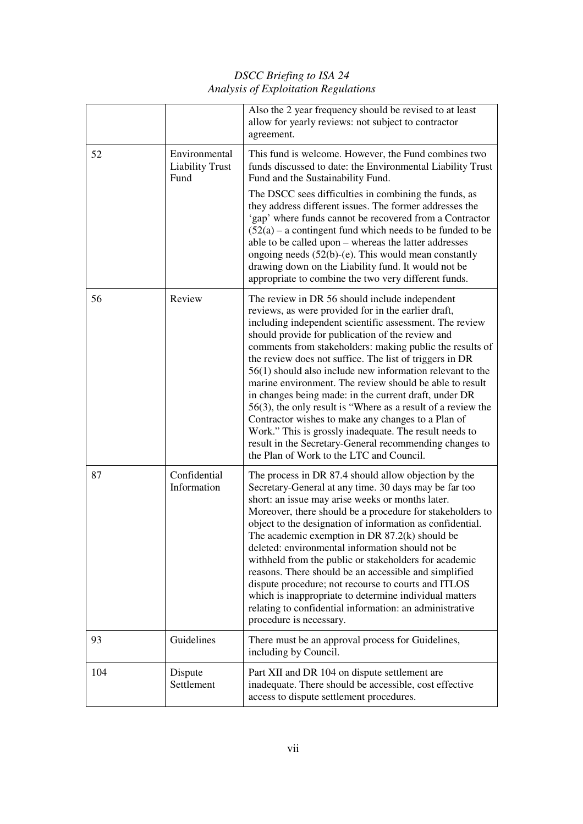*DSCC Briefing to ISA 24 Analysis of Exploitation Regulations* 

|     |                                                 | Also the 2 year frequency should be revised to at least<br>allow for yearly reviews: not subject to contractor<br>agreement.                                                                                                                                                                                                                                                                                                                                                                                                                                                                                                                                                                                                                                                                                             |
|-----|-------------------------------------------------|--------------------------------------------------------------------------------------------------------------------------------------------------------------------------------------------------------------------------------------------------------------------------------------------------------------------------------------------------------------------------------------------------------------------------------------------------------------------------------------------------------------------------------------------------------------------------------------------------------------------------------------------------------------------------------------------------------------------------------------------------------------------------------------------------------------------------|
| 52  | Environmental<br><b>Liability Trust</b><br>Fund | This fund is welcome. However, the Fund combines two<br>funds discussed to date: the Environmental Liability Trust<br>Fund and the Sustainability Fund.                                                                                                                                                                                                                                                                                                                                                                                                                                                                                                                                                                                                                                                                  |
|     |                                                 | The DSCC sees difficulties in combining the funds, as<br>they address different issues. The former addresses the<br>'gap' where funds cannot be recovered from a Contractor<br>$(52(a) - a$ contingent fund which needs to be funded to be<br>able to be called upon - whereas the latter addresses<br>ongoing needs $(52(b)-(e)$ . This would mean constantly<br>drawing down on the Liability fund. It would not be<br>appropriate to combine the two very different funds.                                                                                                                                                                                                                                                                                                                                            |
| 56  | Review                                          | The review in DR 56 should include independent<br>reviews, as were provided for in the earlier draft,<br>including independent scientific assessment. The review<br>should provide for publication of the review and<br>comments from stakeholders: making public the results of<br>the review does not suffice. The list of triggers in DR<br>$56(1)$ should also include new information relevant to the<br>marine environment. The review should be able to result<br>in changes being made: in the current draft, under DR<br>$56(3)$ , the only result is "Where as a result of a review the<br>Contractor wishes to make any changes to a Plan of<br>Work." This is grossly inadequate. The result needs to<br>result in the Secretary-General recommending changes to<br>the Plan of Work to the LTC and Council. |
| 87  | Confidential<br>Information                     | The process in DR 87.4 should allow objection by the<br>Secretary-General at any time. 30 days may be far too<br>short: an issue may arise weeks or months later.<br>Moreover, there should be a procedure for stakeholders to<br>object to the designation of information as confidential.<br>The academic exemption in DR $87.2(k)$ should be<br>deleted: environmental information should not be<br>withheld from the public or stakeholders for academic<br>reasons. There should be an accessible and simplified<br>dispute procedure; not recourse to courts and ITLOS<br>which is inappropriate to determine individual matters<br>relating to confidential information: an administrative<br>procedure is necessary.                                                                                             |
| 93  | Guidelines                                      | There must be an approval process for Guidelines,<br>including by Council.                                                                                                                                                                                                                                                                                                                                                                                                                                                                                                                                                                                                                                                                                                                                               |
| 104 | Dispute<br>Settlement                           | Part XII and DR 104 on dispute settlement are<br>inadequate. There should be accessible, cost effective<br>access to dispute settlement procedures.                                                                                                                                                                                                                                                                                                                                                                                                                                                                                                                                                                                                                                                                      |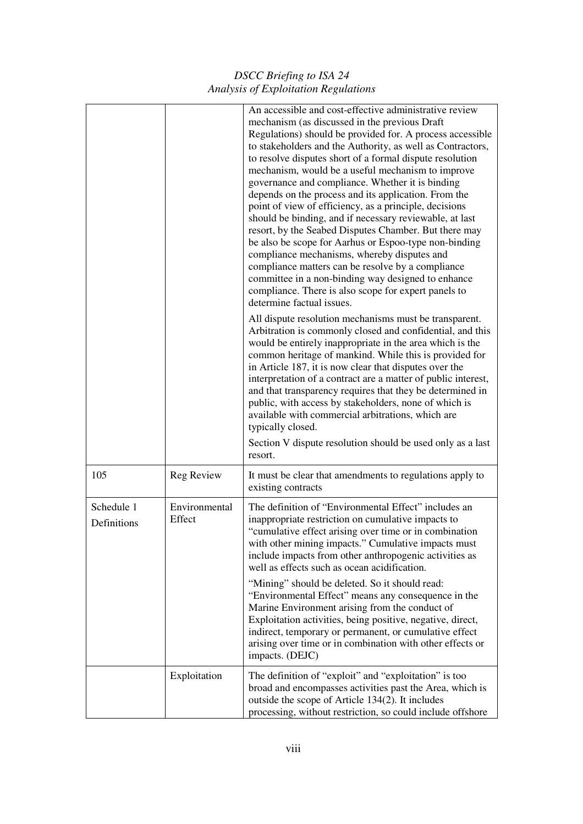*DSCC Briefing to ISA 24 Analysis of Exploitation Regulations* 

|                           |                         | An accessible and cost-effective administrative review<br>mechanism (as discussed in the previous Draft<br>Regulations) should be provided for. A process accessible<br>to stakeholders and the Authority, as well as Contractors,<br>to resolve disputes short of a formal dispute resolution<br>mechanism, would be a useful mechanism to improve<br>governance and compliance. Whether it is binding<br>depends on the process and its application. From the<br>point of view of efficiency, as a principle, decisions<br>should be binding, and if necessary reviewable, at last<br>resort, by the Seabed Disputes Chamber. But there may<br>be also be scope for Aarhus or Espoo-type non-binding<br>compliance mechanisms, whereby disputes and<br>compliance matters can be resolve by a compliance<br>committee in a non-binding way designed to enhance<br>compliance. There is also scope for expert panels to<br>determine factual issues.<br>All dispute resolution mechanisms must be transparent.<br>Arbitration is commonly closed and confidential, and this<br>would be entirely inappropriate in the area which is the<br>common heritage of mankind. While this is provided for<br>in Article 187, it is now clear that disputes over the<br>interpretation of a contract are a matter of public interest,<br>and that transparency requires that they be determined in<br>public, with access by stakeholders, none of which is<br>available with commercial arbitrations, which are<br>typically closed.<br>Section V dispute resolution should be used only as a last<br>resort. |
|---------------------------|-------------------------|--------------------------------------------------------------------------------------------------------------------------------------------------------------------------------------------------------------------------------------------------------------------------------------------------------------------------------------------------------------------------------------------------------------------------------------------------------------------------------------------------------------------------------------------------------------------------------------------------------------------------------------------------------------------------------------------------------------------------------------------------------------------------------------------------------------------------------------------------------------------------------------------------------------------------------------------------------------------------------------------------------------------------------------------------------------------------------------------------------------------------------------------------------------------------------------------------------------------------------------------------------------------------------------------------------------------------------------------------------------------------------------------------------------------------------------------------------------------------------------------------------------------------------------------------------------------------------------------------------|
| 105                       | Reg Review              | It must be clear that amendments to regulations apply to<br>existing contracts                                                                                                                                                                                                                                                                                                                                                                                                                                                                                                                                                                                                                                                                                                                                                                                                                                                                                                                                                                                                                                                                                                                                                                                                                                                                                                                                                                                                                                                                                                                         |
| Schedule 1<br>Definitions | Environmental<br>Effect | The definition of "Environmental Effect" includes an<br>inappropriate restriction on cumulative impacts to<br>"cumulative effect arising over time or in combination<br>with other mining impacts." Cumulative impacts must<br>include impacts from other anthropogenic activities as<br>well as effects such as ocean acidification.<br>"Mining" should be deleted. So it should read:<br>"Environmental Effect" means any consequence in the<br>Marine Environment arising from the conduct of<br>Exploitation activities, being positive, negative, direct,<br>indirect, temporary or permanent, or cumulative effect<br>arising over time or in combination with other effects or<br>impacts. (DEJC)                                                                                                                                                                                                                                                                                                                                                                                                                                                                                                                                                                                                                                                                                                                                                                                                                                                                                               |
|                           | Exploitation            | The definition of "exploit" and "exploitation" is too<br>broad and encompasses activities past the Area, which is<br>outside the scope of Article 134(2). It includes<br>processing, without restriction, so could include offshore                                                                                                                                                                                                                                                                                                                                                                                                                                                                                                                                                                                                                                                                                                                                                                                                                                                                                                                                                                                                                                                                                                                                                                                                                                                                                                                                                                    |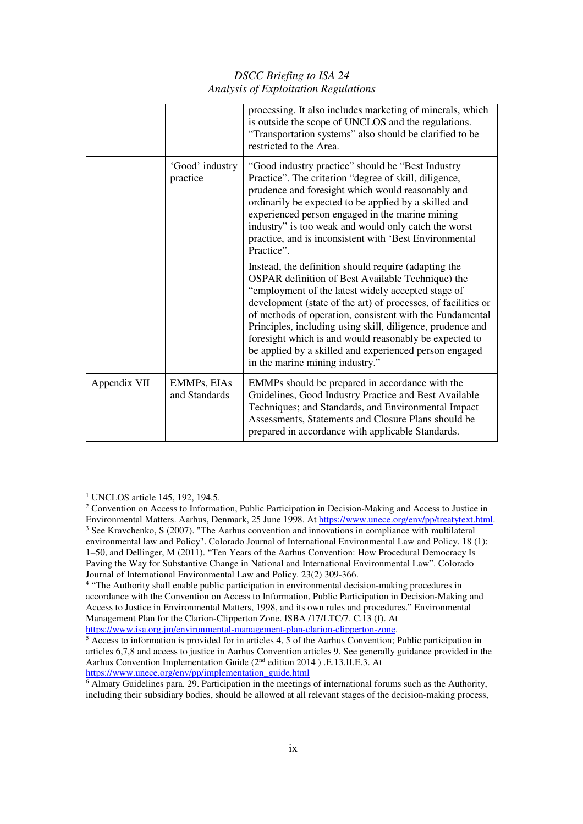|              |                              | processing. It also includes marketing of minerals, which<br>is outside the scope of UNCLOS and the regulations.<br>"Transportation systems" also should be clarified to be<br>restricted to the Area.                                                                                                                                                                                                                                                                                                            |
|--------------|------------------------------|-------------------------------------------------------------------------------------------------------------------------------------------------------------------------------------------------------------------------------------------------------------------------------------------------------------------------------------------------------------------------------------------------------------------------------------------------------------------------------------------------------------------|
|              | 'Good' industry<br>practice  | "Good industry practice" should be "Best Industry"<br>Practice". The criterion "degree of skill, diligence,<br>prudence and foresight which would reasonably and<br>ordinarily be expected to be applied by a skilled and<br>experienced person engaged in the marine mining<br>industry" is too weak and would only catch the worst<br>practice, and is inconsistent with 'Best Environmental<br>Practice".                                                                                                      |
|              |                              | Instead, the definition should require (adapting the<br>OSPAR definition of Best Available Technique) the<br>"employment of the latest widely accepted stage of<br>development (state of the art) of processes, of facilities or<br>of methods of operation, consistent with the Fundamental<br>Principles, including using skill, diligence, prudence and<br>foresight which is and would reasonably be expected to<br>be applied by a skilled and experienced person engaged<br>in the marine mining industry." |
| Appendix VII | EMMPs, EIAs<br>and Standards | EMMPs should be prepared in accordance with the<br>Guidelines, Good Industry Practice and Best Available<br>Techniques; and Standards, and Environmental Impact<br>Assessments, Statements and Closure Plans should be<br>prepared in accordance with applicable Standards.                                                                                                                                                                                                                                       |

<sup>1</sup> UNCLOS article 145, 192, 194.5. -

<sup>&</sup>lt;sup>2</sup> Convention on Access to Information, Public Participation in Decision-Making and Access to Justice in Environmental Matters. Aarhus, Denmark, 25 June 1998. At https://www.unece.org/env/pp/treatytext.html. <sup>3</sup> See Kravchenko, S (2007). "The Aarhus convention and innovations in compliance with multilateral environmental law and Policy". Colorado Journal of International Environmental Law and Policy. 18 (1): 1–50, and Dellinger, M (2011). "Ten Years of the Aarhus Convention: How Procedural Democracy Is Paving the Way for Substantive Change in National and International Environmental Law". Colorado Journal of International Environmental Law and Policy. 23(2) 309-366.

<sup>&</sup>lt;sup>4</sup> "The Authority shall enable public participation in environmental decision-making procedures in accordance with the Convention on Access to Information, Public Participation in Decision-Making and Access to Justice in Environmental Matters, 1998, and its own rules and procedures." Environmental Management Plan for the Clarion-Clipperton Zone. ISBA /17/LTC/7. C.13 (f). At https://www.isa.org.jm/environmental-management-plan-clarion-clipperton-zone.

<sup>&</sup>lt;sup>5</sup> Access to information is provided for in articles 4, 5 of the Aarhus Convention; Public participation in articles 6,7,8 and access to justice in Aarhus Convention articles 9. See generally guidance provided in the Aarhus Convention Implementation Guide (2nd edition 2014 ) .E.13.II.E.3. At https://www.unece.org/env/pp/implementation\_guide.html

<sup>6</sup> Almaty Guidelines para. 29. Participation in the meetings of international forums such as the Authority, including their subsidiary bodies, should be allowed at all relevant stages of the decision-making process,